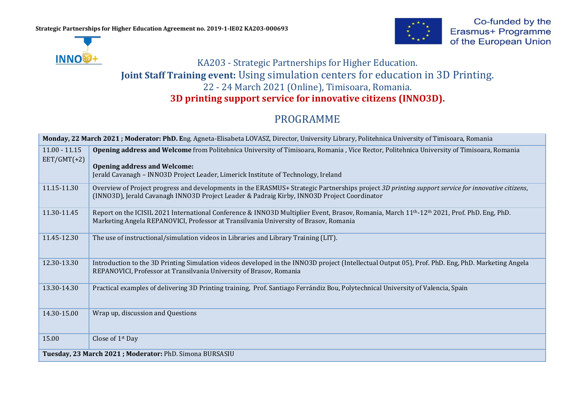**INNO** 



## KA203 - Strategic Partnerships for Higher Education. **Joint Staff Training event:** Using simulation centers for education in 3D Printing. 22 - 24 March 2021 (Online), Timisoara, Romania. **3D printing support service for innovative citizens (INNO3D).**

## PROGRAMME

| Monday, 22 March 2021; Moderator: PhD. Eng. Agneta-Elisabeta LOVASZ, Director, University Library, Politehnica University of Timisoara, Romania |                                                                                                                                                                                                                                                                       |  |
|-------------------------------------------------------------------------------------------------------------------------------------------------|-----------------------------------------------------------------------------------------------------------------------------------------------------------------------------------------------------------------------------------------------------------------------|--|
| $11.00 - 11.15$<br>$EET/GMT(+2)$                                                                                                                | Opening address and Welcome from Politehnica University of Timisoara, Romania, Vice Rector, Politehnica University of Timisoara, Romania<br><b>Opening address and Welcome:</b><br>Jerald Cavanagh – INNO3D Project Leader, Limerick Institute of Technology, Ireland |  |
| 11.15-11.30                                                                                                                                     | Overview of Project progress and developments in the ERASMUS+ Strategic Partnerships project 3D printing support service for innovative citizens,<br>(INNO3D), Jerald Cavanagh INNO3D Project Leader & Padraig Kirby, INNO3D Project Coordinator                      |  |
| 11.30-11.45                                                                                                                                     | Report on the ICISIL 2021 International Conference & INNO3D Multiplier Event, Brasov, Romania, March 11 <sup>th</sup> -12 <sup>th</sup> 2021, Prof. PhD. Eng, PhD.<br>Marketing Angela REPANOVICI, Professor at Transilvania University of Brasov, Romania            |  |
| 11.45-12.30                                                                                                                                     | The use of instructional/simulation videos in Libraries and Library Training (LIT).                                                                                                                                                                                   |  |
| 12.30-13.30                                                                                                                                     | Introduction to the 3D Printing Simulation videos developed in the INNO3D project (Intellectual Output 05), Prof. PhD. Eng, PhD. Marketing Angela<br>REPANOVICI, Professor at Transilvania University of Brasov, Romania                                              |  |
| 13.30-14.30                                                                                                                                     | Practical examples of delivering 3D Printing training, Prof. Santiago Ferrándiz Bou, Polytechnical University of Valencia, Spain                                                                                                                                      |  |
| 14.30-15.00                                                                                                                                     | Wrap up, discussion and Questions                                                                                                                                                                                                                                     |  |
| 15.00                                                                                                                                           | Close of 1 <sup>st</sup> Day                                                                                                                                                                                                                                          |  |
| Tuesday, 23 March 2021; Moderator: PhD. Simona BURSASIU                                                                                         |                                                                                                                                                                                                                                                                       |  |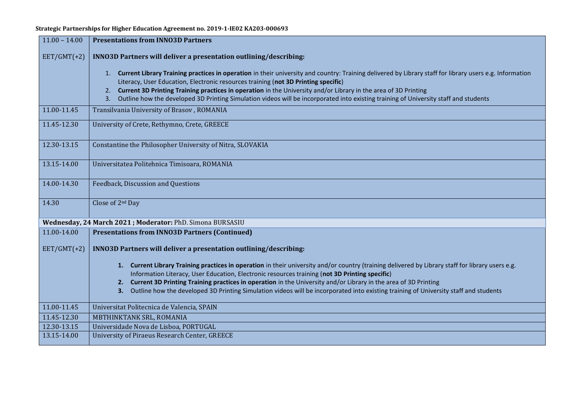**Strategic Partnerships for Higher Education Agreement no. 2019-1-IE02 KA203-000693**

| $11.00 - 14.00$                                           | <b>Presentations from INNO3D Partners</b>                                                                                                                                                                                                                                                                                                                                                                                                                                                                               |  |
|-----------------------------------------------------------|-------------------------------------------------------------------------------------------------------------------------------------------------------------------------------------------------------------------------------------------------------------------------------------------------------------------------------------------------------------------------------------------------------------------------------------------------------------------------------------------------------------------------|--|
| $EET/GMT(+2)$                                             | INNO3D Partners will deliver a presentation outlining/describing:                                                                                                                                                                                                                                                                                                                                                                                                                                                       |  |
|                                                           | 1. Current Library Training practices in operation in their university and country: Training delivered by Library staff for library users e.g. Information<br>Literacy, User Education, Electronic resources training (not 3D Printing specific)<br>Current 3D Printing Training practices in operation in the University and/or Library in the area of 3D Printing<br>2.<br>Outline how the developed 3D Printing Simulation videos will be incorporated into existing training of University staff and students<br>3. |  |
| 11.00-11.45                                               | Transilvania University of Brasov, ROMANIA                                                                                                                                                                                                                                                                                                                                                                                                                                                                              |  |
| 11.45-12.30                                               | University of Crete, Rethymno, Crete, GREECE                                                                                                                                                                                                                                                                                                                                                                                                                                                                            |  |
| 12.30-13.15                                               | Constantine the Philosopher University of Nitra, SLOVAKIA                                                                                                                                                                                                                                                                                                                                                                                                                                                               |  |
| 13.15-14.00                                               | Universitatea Politehnica Timisoara, ROMANIA                                                                                                                                                                                                                                                                                                                                                                                                                                                                            |  |
| 14.00-14.30                                               | Feedback, Discussion and Questions                                                                                                                                                                                                                                                                                                                                                                                                                                                                                      |  |
| 14.30                                                     | Close of 2 <sup>nd</sup> Day                                                                                                                                                                                                                                                                                                                                                                                                                                                                                            |  |
| Wednesday, 24 March 2021; Moderator: PhD. Simona BURSASIU |                                                                                                                                                                                                                                                                                                                                                                                                                                                                                                                         |  |
| 11.00-14.00                                               | <b>Presentations from INNO3D Partners (Continued)</b>                                                                                                                                                                                                                                                                                                                                                                                                                                                                   |  |
| $EET/GMT(+2)$                                             | INNO3D Partners will deliver a presentation outlining/describing:                                                                                                                                                                                                                                                                                                                                                                                                                                                       |  |
|                                                           | 1. Current Library Training practices in operation in their university and/or country (training delivered by Library staff for library users e.g.<br>Information Literacy, User Education, Electronic resources training (not 3D Printing specific)                                                                                                                                                                                                                                                                     |  |
|                                                           | 2. Current 3D Printing Training practices in operation in the University and/or Library in the area of 3D Printing                                                                                                                                                                                                                                                                                                                                                                                                      |  |
|                                                           | Outline how the developed 3D Printing Simulation videos will be incorporated into existing training of University staff and students<br>3.                                                                                                                                                                                                                                                                                                                                                                              |  |
| 11.00-11.45                                               | Universitat Politecnica de Valencia, SPAIN                                                                                                                                                                                                                                                                                                                                                                                                                                                                              |  |
| 11.45-12.30                                               | MBTHINKTANK SRL, ROMANIA                                                                                                                                                                                                                                                                                                                                                                                                                                                                                                |  |
| 12.30-13.15                                               | Universidade Nova de Lisboa, PORTUGAL                                                                                                                                                                                                                                                                                                                                                                                                                                                                                   |  |
| 13.15-14.00                                               | University of Piraeus Research Center, GREECE                                                                                                                                                                                                                                                                                                                                                                                                                                                                           |  |